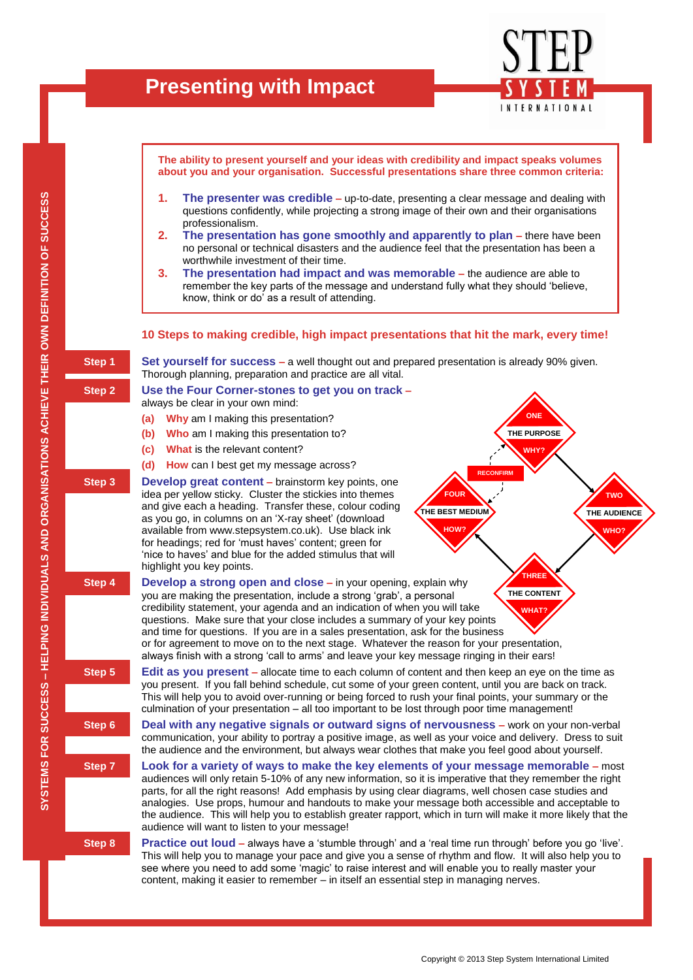

**The ability to present yourself and your ideas with credibility and impact speaks volumes about you and your organisation. Successful presentations share three common criteria:**

- **1. The presenter was credible –** up-to-date, presenting a clear message and dealing with questions confidently, while projecting a strong image of their own and their organisations professionalism.
- **2. The presentation has gone smoothly and apparently to plan –** there have been no personal or technical disasters and the audience feel that the presentation has been a worthwhile investment of their time.
- **3. The presentation had impact and was memorable –** the audience are able to remember the key parts of the message and understand fully what they should 'believe, know, think or do' as a result of attending.

## **10 Steps to making credible, high impact presentations that hit the mark, every time!**

**RECONFIRM ONE THE PURPOSE WHY? FOUR THE BEST MEDIUM HOW? THREE THE CONTENT WHAT? TWO THE AUDIENCE WHO? Step 1 Set yourself for success –** a well thought out and prepared presentation is already 90% given. Thorough planning, preparation and practice are all vital. **Step 2 Use the Four Corner-stones to get you on track –** always be clear in your own mind: **(a) Why** am I making this presentation? **(b) Who** am I making this presentation to? **(c) What** is the relevant content? **(d) How** can I best get my message across? **Step 3 Develop great content** – brainstorm key points, one idea per yellow sticky. Cluster the stickies into themes and give each a heading. Transfer these, colour coding as you go, in columns on an 'X-ray sheet' (download available from www.stepsystem.co.uk). Use black ink for headings; red for 'must haves' content; green for 'nice to haves' and blue for the added stimulus that will highlight you key points. **Step 4 Develop a strong open and close** – in your opening, explain why you are making the presentation, include a strong 'grab', a personal credibility statement, your agenda and an indication of when you will take questions. Make sure that your close includes a summary of your key points and time for questions. If you are in a sales presentation, ask for the business or for agreement to move on to the next stage. Whatever the reason for your presentation, always finish with a strong 'call to arms' and leave your key message ringing in their ears! **Step 5 Edit as you present** – allocate time to each column of content and then keep an eye on the time as you present. If you fall behind schedule, cut some of your green content, until you are back on track. This will help you to avoid over-running or being forced to rush your final points, your summary or the culmination of your presentation – all too important to be lost through poor time management! **Step 6 Deal with any negative signals or outward signs of nervousness –** work on your non-verbal communication, your ability to portray a positive image, as well as your voice and delivery. Dress to suit the audience and the environment, but always wear clothes that make you feel good about yourself. **Step 7 Look for a variety of ways to make the key elements of your message memorable –** most audiences will only retain 5-10% of any new information, so it is imperative that they remember the right parts, for all the right reasons! Add emphasis by using clear diagrams, well chosen case studies and analogies. Use props, humour and handouts to make your message both accessible and acceptable to the audience. This will help you to establish greater rapport, which in turn will make it more likely that the audience will want to listen to your message! **Step 8 Practice out loud –** always have a 'stumble through' and a 'real time run through' before you go 'live'. This will help you to manage your pace and give you a sense of rhythm and flow. It will also help you to see where you need to add some 'magic' to raise interest and will enable you to really master your

content, making it easier to remember – in itself an essential step in managing nerves.